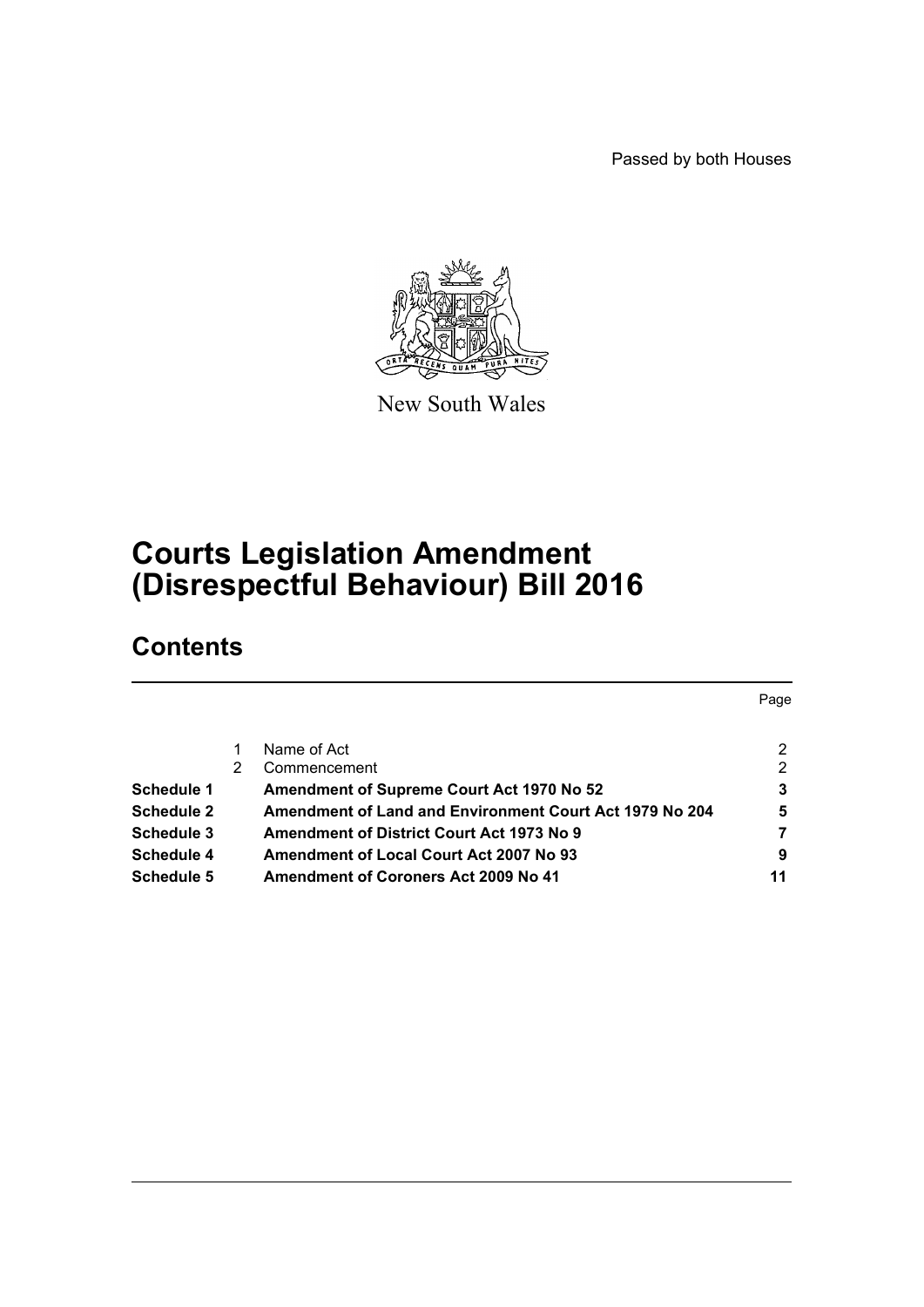Passed by both Houses



New South Wales

# **Courts Legislation Amendment (Disrespectful Behaviour) Bill 2016**

## **Contents**

|                   |   |                                                         | Page |
|-------------------|---|---------------------------------------------------------|------|
|                   |   | Name of Act                                             | 2    |
|                   | 2 | Commencement                                            | 2    |
| <b>Schedule 1</b> |   | Amendment of Supreme Court Act 1970 No 52               | 3    |
| <b>Schedule 2</b> |   | Amendment of Land and Environment Court Act 1979 No 204 | 5    |
| Schedule 3        |   | <b>Amendment of District Court Act 1973 No 9</b>        |      |
| Schedule 4        |   | Amendment of Local Court Act 2007 No 93                 | 9    |
| Schedule 5        |   | <b>Amendment of Coroners Act 2009 No 41</b>             | 11   |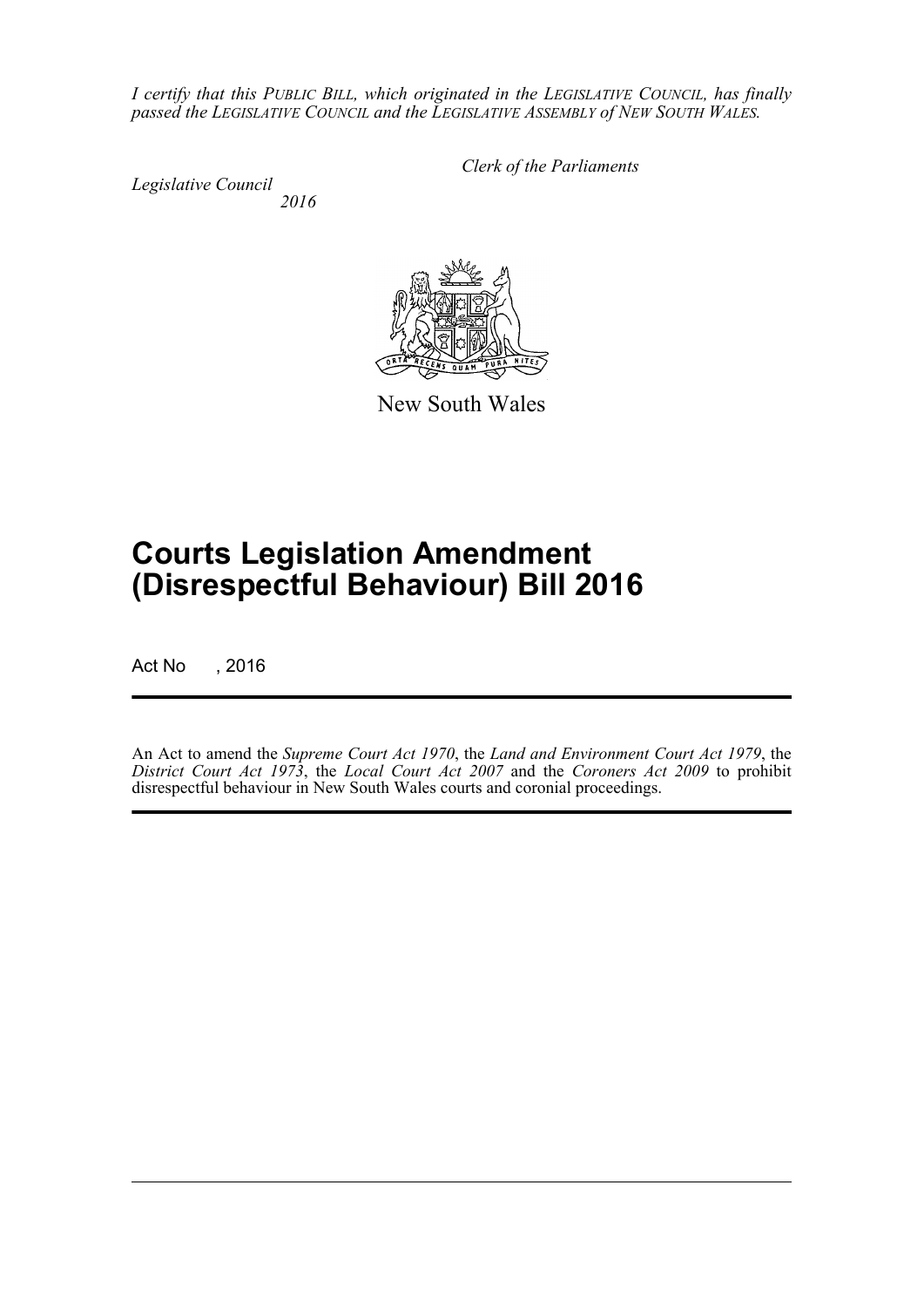*I certify that this PUBLIC BILL, which originated in the LEGISLATIVE COUNCIL, has finally passed the LEGISLATIVE COUNCIL and the LEGISLATIVE ASSEMBLY of NEW SOUTH WALES.*

*Legislative Council 2016* *Clerk of the Parliaments*



New South Wales

# **Courts Legislation Amendment (Disrespectful Behaviour) Bill 2016**

Act No , 2016

An Act to amend the *Supreme Court Act 1970*, the *Land and Environment Court Act 1979*, the *District Court Act 1973*, the *Local Court Act 2007* and the *Coroners Act 2009* to prohibit disrespectful behaviour in New South Wales courts and coronial proceedings.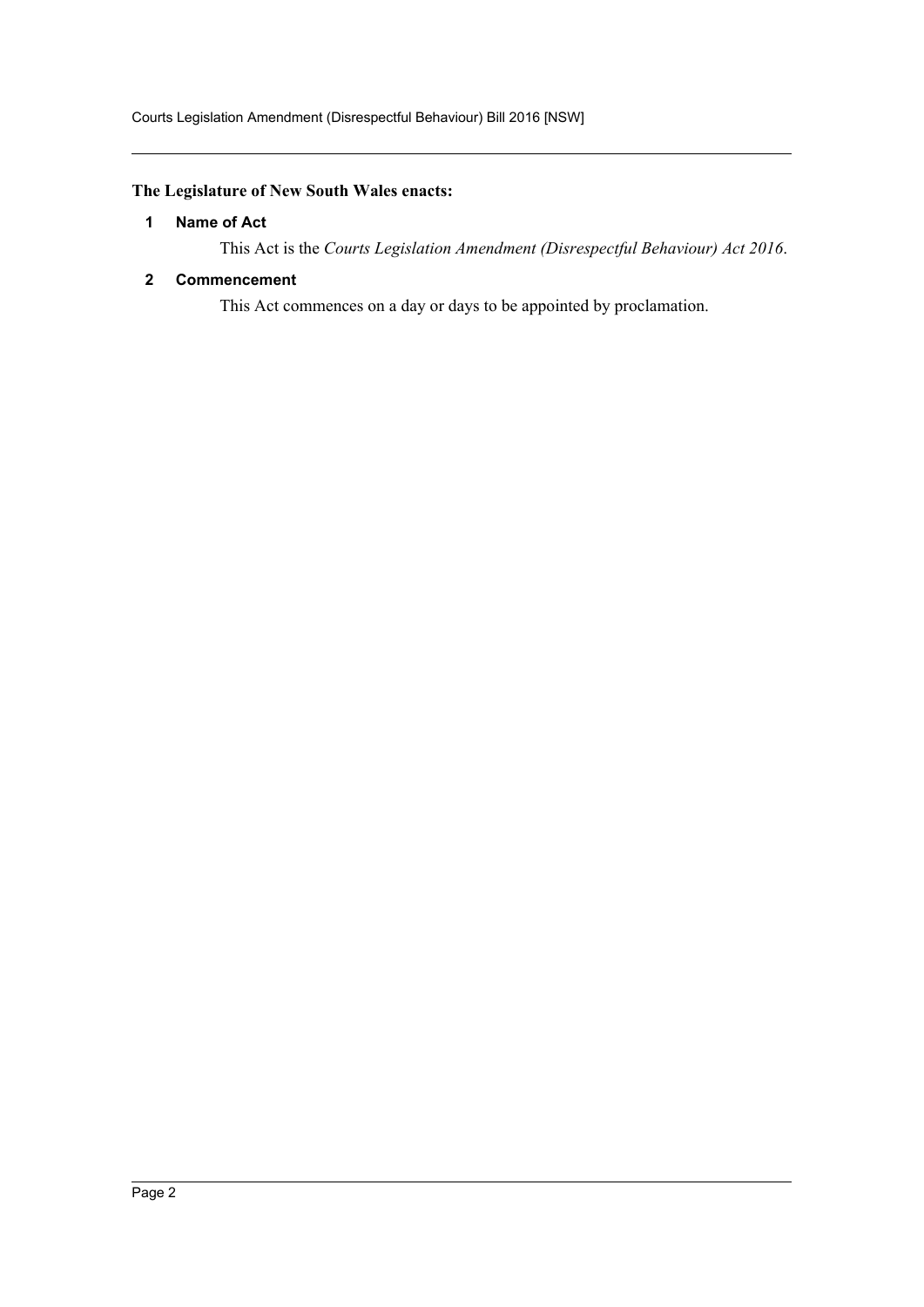### <span id="page-2-0"></span>**The Legislature of New South Wales enacts:**

#### **1 Name of Act**

This Act is the *Courts Legislation Amendment (Disrespectful Behaviour) Act 2016*.

#### <span id="page-2-1"></span>**2 Commencement**

This Act commences on a day or days to be appointed by proclamation.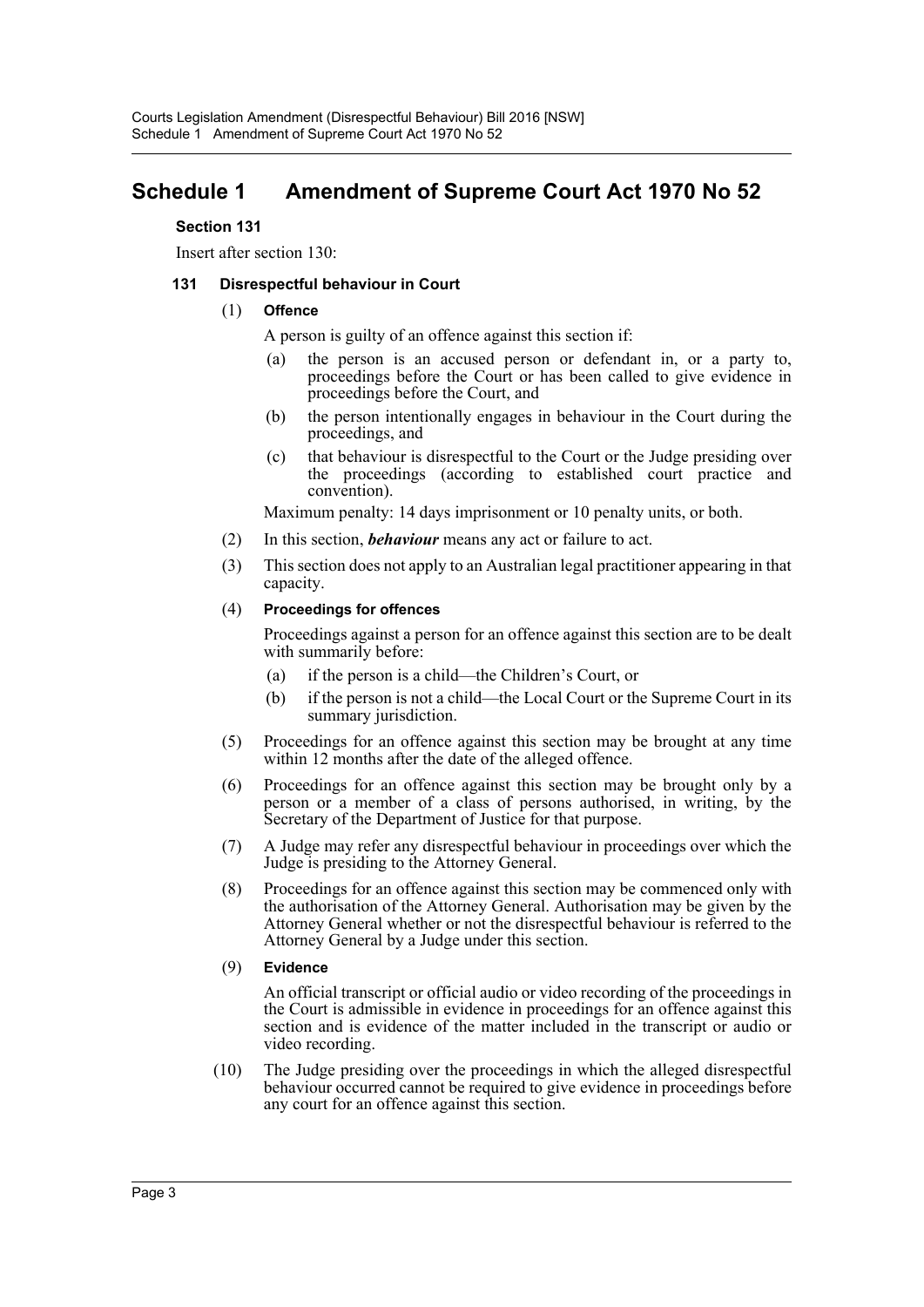## <span id="page-3-0"></span>**Schedule 1 Amendment of Supreme Court Act 1970 No 52**

#### **Section 131**

Insert after section 130:

#### **131 Disrespectful behaviour in Court**

#### (1) **Offence**

A person is guilty of an offence against this section if:

- (a) the person is an accused person or defendant in, or a party to, proceedings before the Court or has been called to give evidence in proceedings before the Court, and
- (b) the person intentionally engages in behaviour in the Court during the proceedings, and
- (c) that behaviour is disrespectful to the Court or the Judge presiding over the proceedings (according to established court practice and convention).

Maximum penalty: 14 days imprisonment or 10 penalty units, or both.

- (2) In this section, *behaviour* means any act or failure to act.
- (3) This section does not apply to an Australian legal practitioner appearing in that capacity.

#### (4) **Proceedings for offences**

Proceedings against a person for an offence against this section are to be dealt with summarily before:

- (a) if the person is a child—the Children's Court, or
- (b) if the person is not a child—the Local Court or the Supreme Court in its summary jurisdiction.
- (5) Proceedings for an offence against this section may be brought at any time within 12 months after the date of the alleged offence.
- (6) Proceedings for an offence against this section may be brought only by a person or a member of a class of persons authorised, in writing, by the Secretary of the Department of Justice for that purpose.
- (7) A Judge may refer any disrespectful behaviour in proceedings over which the Judge is presiding to the Attorney General.
- (8) Proceedings for an offence against this section may be commenced only with the authorisation of the Attorney General. Authorisation may be given by the Attorney General whether or not the disrespectful behaviour is referred to the Attorney General by a Judge under this section.

#### (9) **Evidence**

An official transcript or official audio or video recording of the proceedings in the Court is admissible in evidence in proceedings for an offence against this section and is evidence of the matter included in the transcript or audio or video recording.

(10) The Judge presiding over the proceedings in which the alleged disrespectful behaviour occurred cannot be required to give evidence in proceedings before any court for an offence against this section.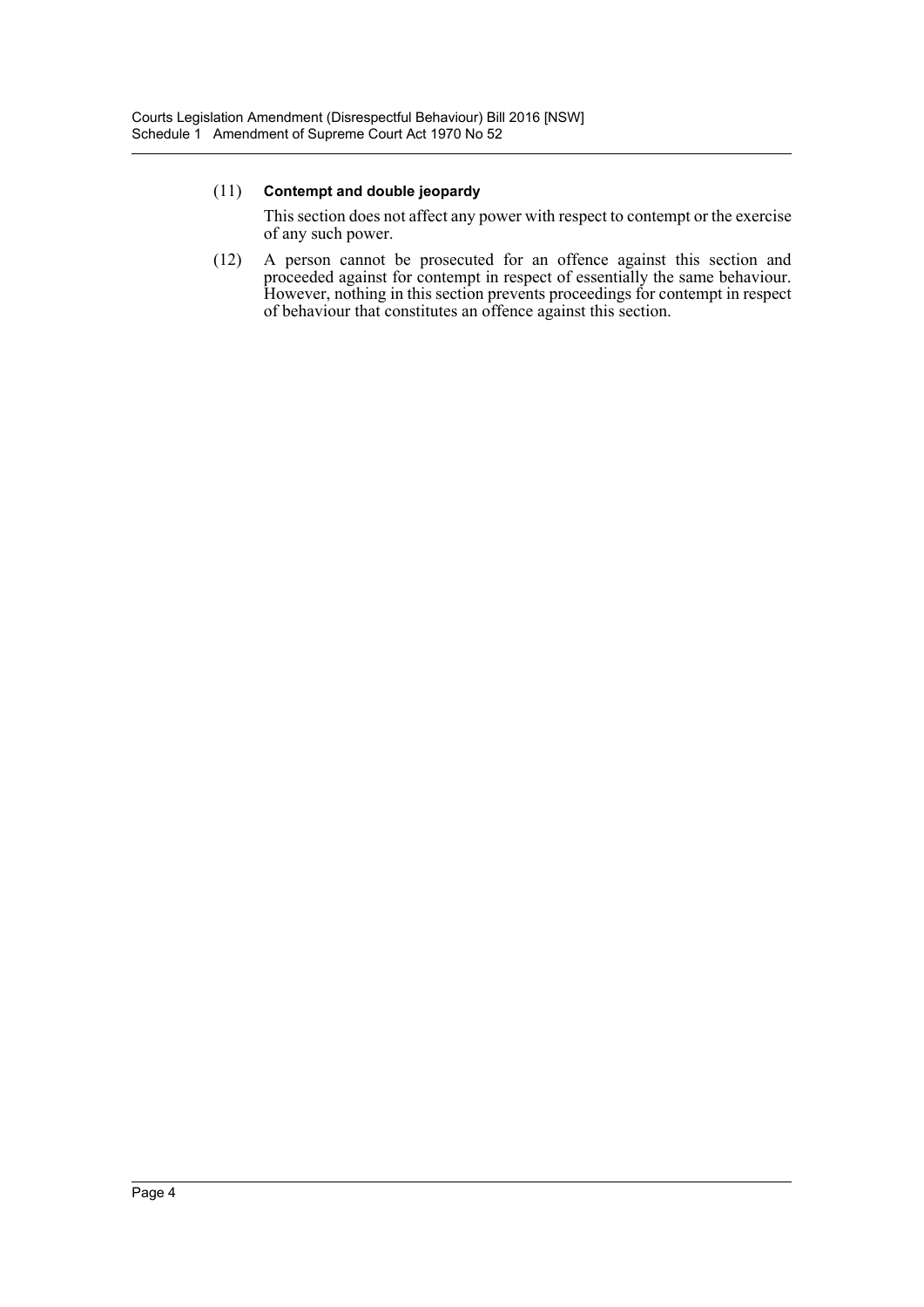This section does not affect any power with respect to contempt or the exercise of any such power.

(12) A person cannot be prosecuted for an offence against this section and proceeded against for contempt in respect of essentially the same behaviour. However, nothing in this section prevents proceedings for contempt in respect of behaviour that constitutes an offence against this section.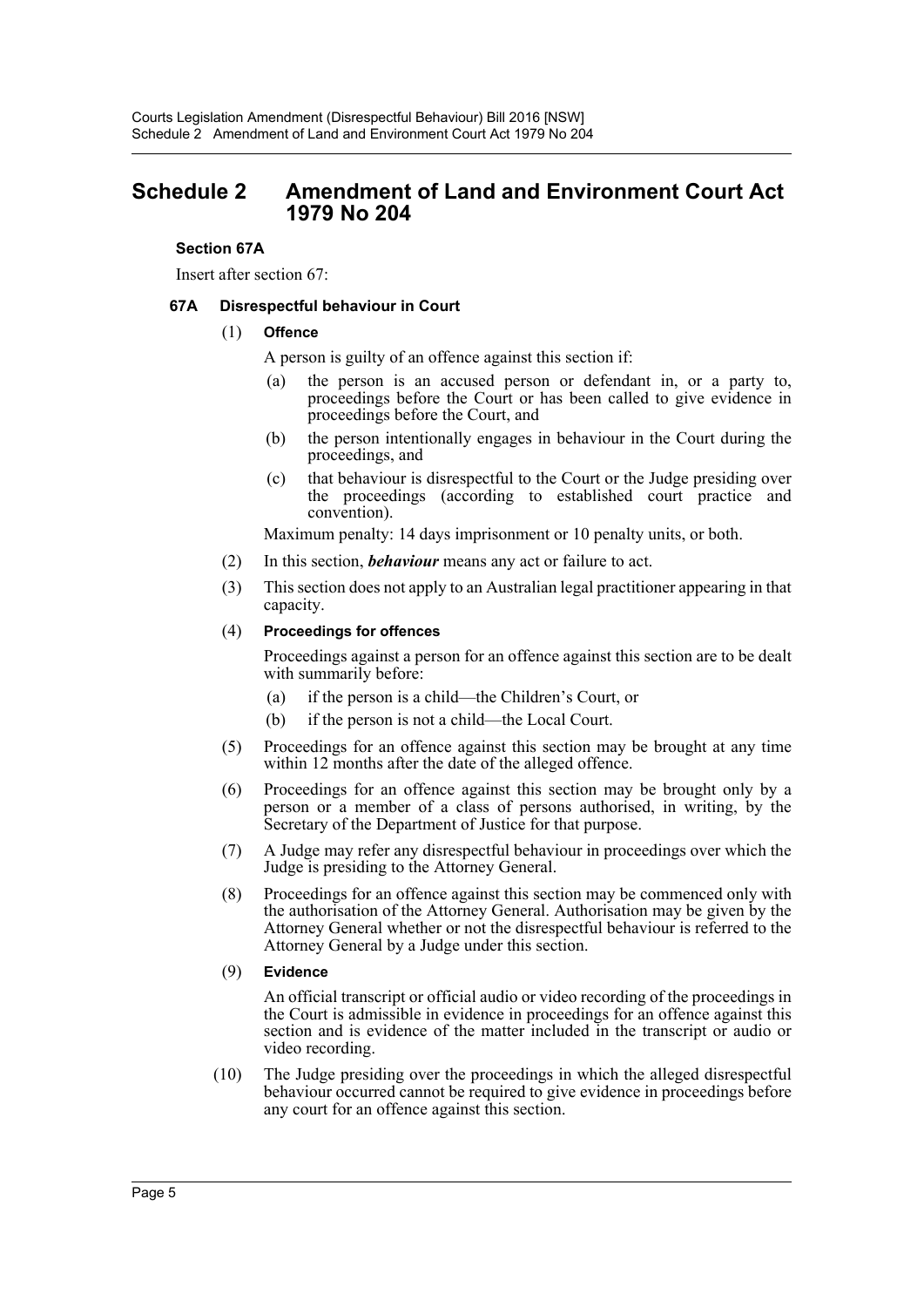### <span id="page-5-0"></span>**Schedule 2 Amendment of Land and Environment Court Act 1979 No 204**

#### **Section 67A**

Insert after section 67:

#### **67A Disrespectful behaviour in Court**

#### (1) **Offence**

A person is guilty of an offence against this section if:

- (a) the person is an accused person or defendant in, or a party to, proceedings before the Court or has been called to give evidence in proceedings before the Court, and
- (b) the person intentionally engages in behaviour in the Court during the proceedings, and
- (c) that behaviour is disrespectful to the Court or the Judge presiding over the proceedings (according to established court practice and convention).

Maximum penalty: 14 days imprisonment or 10 penalty units, or both.

- (2) In this section, *behaviour* means any act or failure to act.
- (3) This section does not apply to an Australian legal practitioner appearing in that capacity.

#### (4) **Proceedings for offences**

Proceedings against a person for an offence against this section are to be dealt with summarily before:

- (a) if the person is a child—the Children's Court, or
- (b) if the person is not a child—the Local Court.
- (5) Proceedings for an offence against this section may be brought at any time within 12 months after the date of the alleged offence.
- (6) Proceedings for an offence against this section may be brought only by a person or a member of a class of persons authorised, in writing, by the Secretary of the Department of Justice for that purpose.
- (7) A Judge may refer any disrespectful behaviour in proceedings over which the Judge is presiding to the Attorney General.
- (8) Proceedings for an offence against this section may be commenced only with the authorisation of the Attorney General. Authorisation may be given by the Attorney General whether or not the disrespectful behaviour is referred to the Attorney General by a Judge under this section.
- (9) **Evidence**

An official transcript or official audio or video recording of the proceedings in the Court is admissible in evidence in proceedings for an offence against this section and is evidence of the matter included in the transcript or audio or video recording.

(10) The Judge presiding over the proceedings in which the alleged disrespectful behaviour occurred cannot be required to give evidence in proceedings before any court for an offence against this section.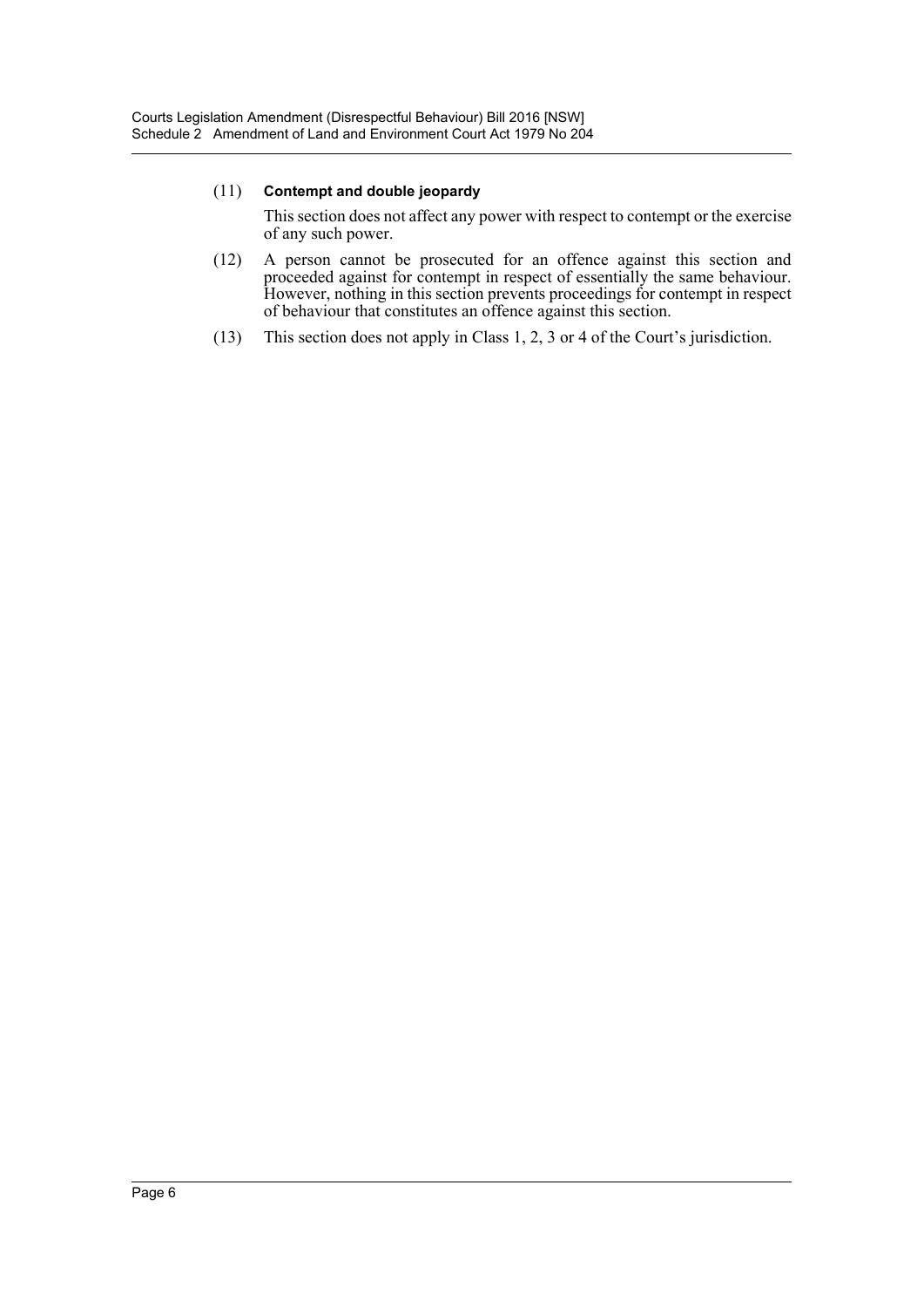This section does not affect any power with respect to contempt or the exercise of any such power.

- (12) A person cannot be prosecuted for an offence against this section and proceeded against for contempt in respect of essentially the same behaviour. However, nothing in this section prevents proceedings for contempt in respect of behaviour that constitutes an offence against this section.
- (13) This section does not apply in Class 1, 2, 3 or 4 of the Court's jurisdiction.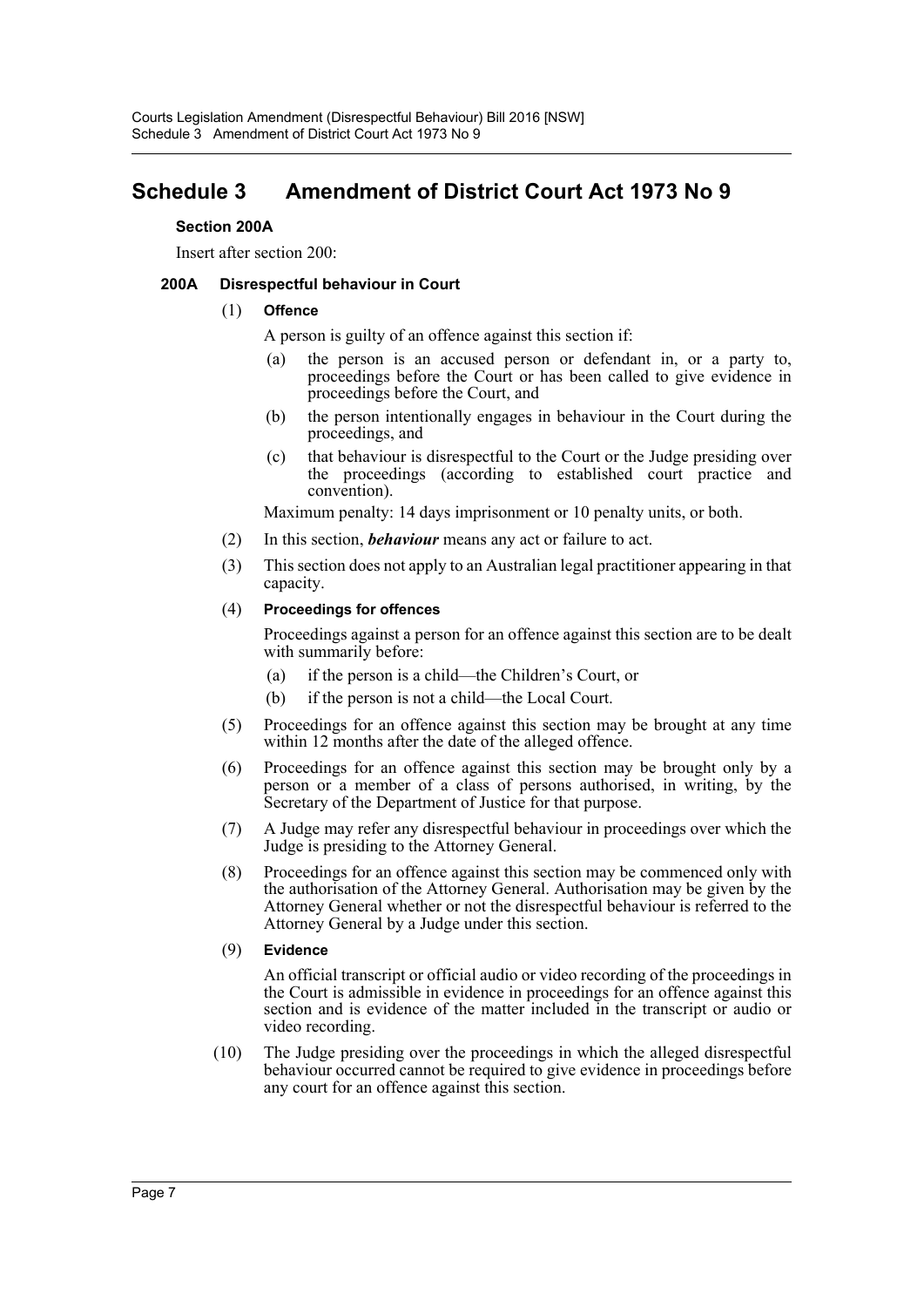## <span id="page-7-0"></span>**Schedule 3 Amendment of District Court Act 1973 No 9**

#### **Section 200A**

Insert after section 200:

#### **200A Disrespectful behaviour in Court**

#### (1) **Offence**

A person is guilty of an offence against this section if:

- (a) the person is an accused person or defendant in, or a party to, proceedings before the Court or has been called to give evidence in proceedings before the Court, and
- (b) the person intentionally engages in behaviour in the Court during the proceedings, and
- (c) that behaviour is disrespectful to the Court or the Judge presiding over the proceedings (according to established court practice and convention).

Maximum penalty: 14 days imprisonment or 10 penalty units, or both.

- (2) In this section, *behaviour* means any act or failure to act.
- (3) This section does not apply to an Australian legal practitioner appearing in that capacity.

#### (4) **Proceedings for offences**

Proceedings against a person for an offence against this section are to be dealt with summarily before:

- (a) if the person is a child—the Children's Court, or
- (b) if the person is not a child—the Local Court.
- (5) Proceedings for an offence against this section may be brought at any time within 12 months after the date of the alleged offence.
- (6) Proceedings for an offence against this section may be brought only by a person or a member of a class of persons authorised, in writing, by the Secretary of the Department of Justice for that purpose.
- (7) A Judge may refer any disrespectful behaviour in proceedings over which the Judge is presiding to the Attorney General.
- (8) Proceedings for an offence against this section may be commenced only with the authorisation of the Attorney General. Authorisation may be given by the Attorney General whether or not the disrespectful behaviour is referred to the Attorney General by a Judge under this section.
- (9) **Evidence**

An official transcript or official audio or video recording of the proceedings in the Court is admissible in evidence in proceedings for an offence against this section and is evidence of the matter included in the transcript or audio or video recording.

(10) The Judge presiding over the proceedings in which the alleged disrespectful behaviour occurred cannot be required to give evidence in proceedings before any court for an offence against this section.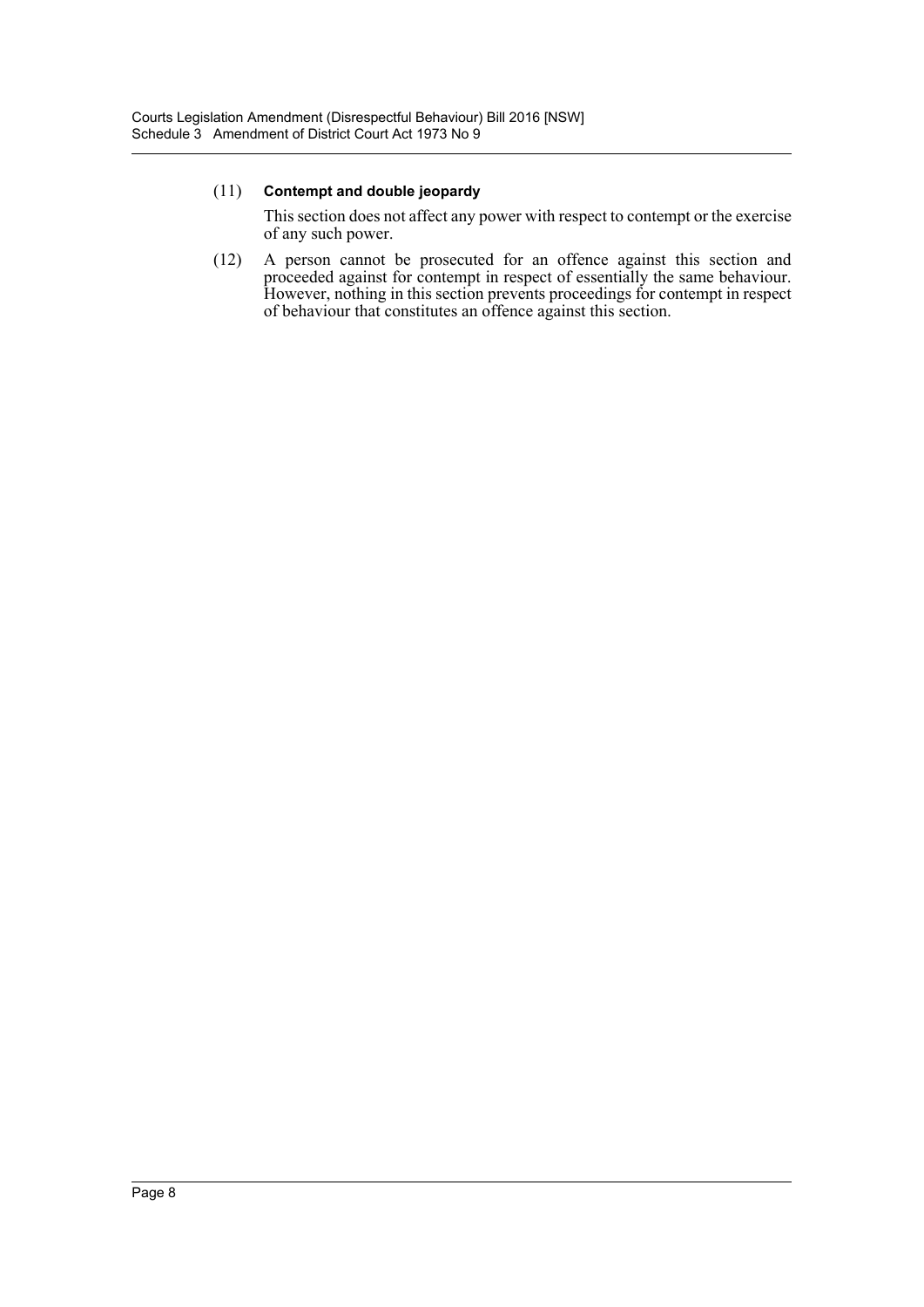This section does not affect any power with respect to contempt or the exercise of any such power.

(12) A person cannot be prosecuted for an offence against this section and proceeded against for contempt in respect of essentially the same behaviour. However, nothing in this section prevents proceedings for contempt in respect of behaviour that constitutes an offence against this section.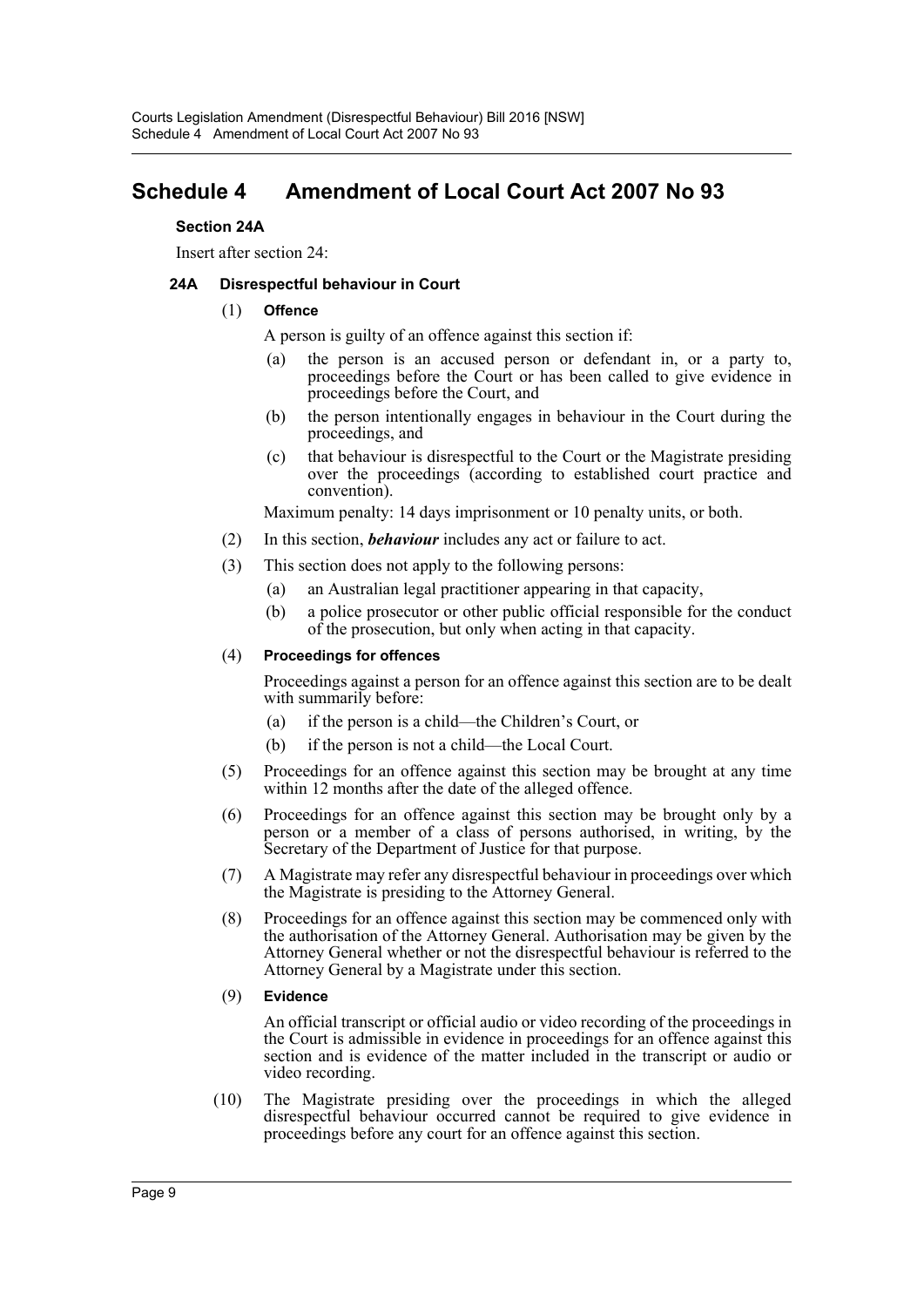## <span id="page-9-0"></span>**Schedule 4 Amendment of Local Court Act 2007 No 93**

#### **Section 24A**

Insert after section 24:

#### **24A Disrespectful behaviour in Court**

#### (1) **Offence**

A person is guilty of an offence against this section if:

- (a) the person is an accused person or defendant in, or a party to, proceedings before the Court or has been called to give evidence in proceedings before the Court, and
- (b) the person intentionally engages in behaviour in the Court during the proceedings, and
- (c) that behaviour is disrespectful to the Court or the Magistrate presiding over the proceedings (according to established court practice and convention).

Maximum penalty: 14 days imprisonment or 10 penalty units, or both.

- (2) In this section, *behaviour* includes any act or failure to act.
- (3) This section does not apply to the following persons:
	- (a) an Australian legal practitioner appearing in that capacity,
	- (b) a police prosecutor or other public official responsible for the conduct of the prosecution, but only when acting in that capacity.

#### (4) **Proceedings for offences**

Proceedings against a person for an offence against this section are to be dealt with summarily before:

- (a) if the person is a child—the Children's Court, or
- (b) if the person is not a child—the Local Court.
- (5) Proceedings for an offence against this section may be brought at any time within 12 months after the date of the alleged offence.
- (6) Proceedings for an offence against this section may be brought only by a person or a member of a class of persons authorised, in writing, by the Secretary of the Department of Justice for that purpose.
- (7) A Magistrate may refer any disrespectful behaviour in proceedings over which the Magistrate is presiding to the Attorney General.
- (8) Proceedings for an offence against this section may be commenced only with the authorisation of the Attorney General. Authorisation may be given by the Attorney General whether or not the disrespectful behaviour is referred to the Attorney General by a Magistrate under this section.
- (9) **Evidence**

An official transcript or official audio or video recording of the proceedings in the Court is admissible in evidence in proceedings for an offence against this section and is evidence of the matter included in the transcript or audio or video recording.

(10) The Magistrate presiding over the proceedings in which the alleged disrespectful behaviour occurred cannot be required to give evidence in proceedings before any court for an offence against this section.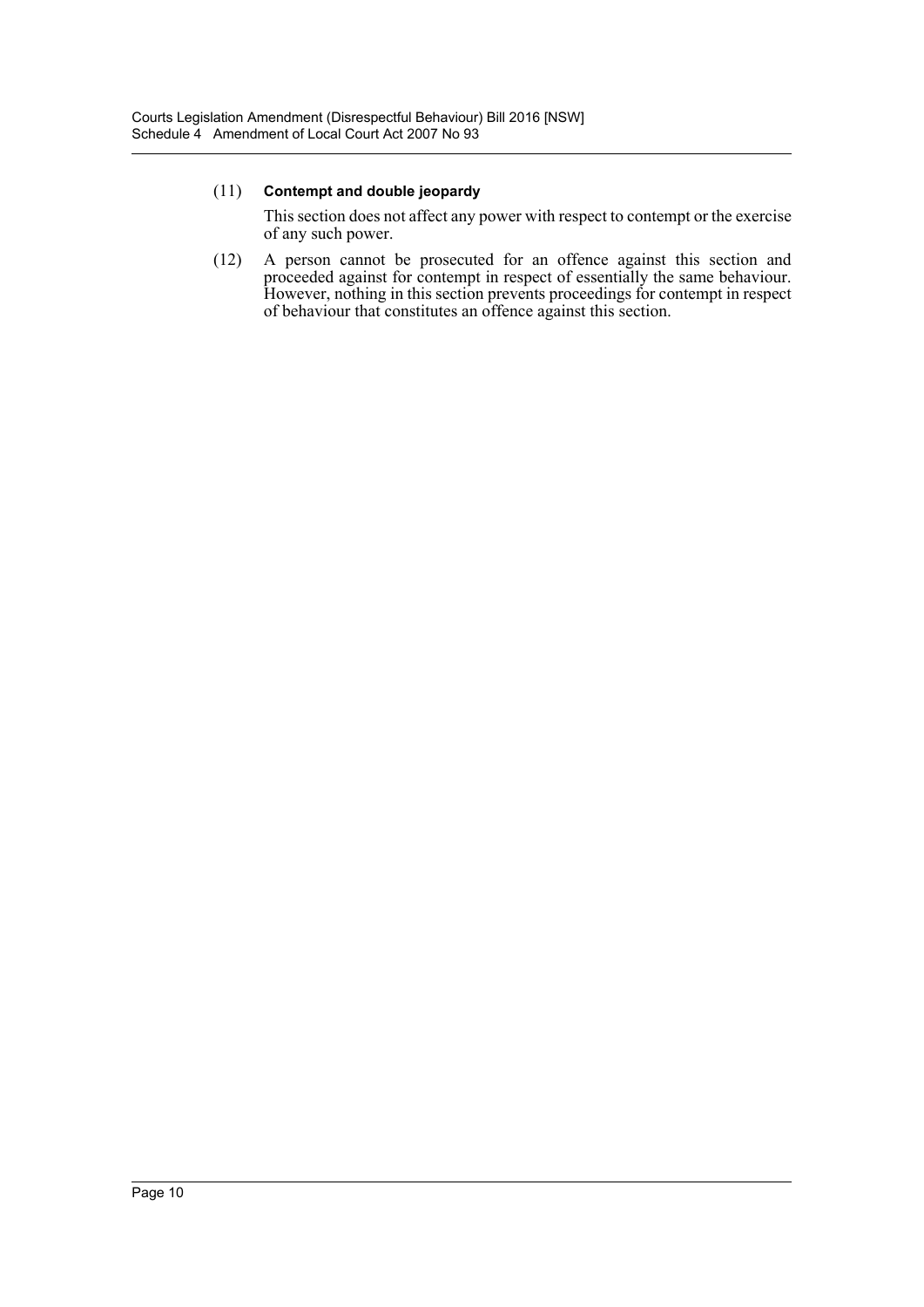This section does not affect any power with respect to contempt or the exercise of any such power.

(12) A person cannot be prosecuted for an offence against this section and proceeded against for contempt in respect of essentially the same behaviour. However, nothing in this section prevents proceedings for contempt in respect of behaviour that constitutes an offence against this section.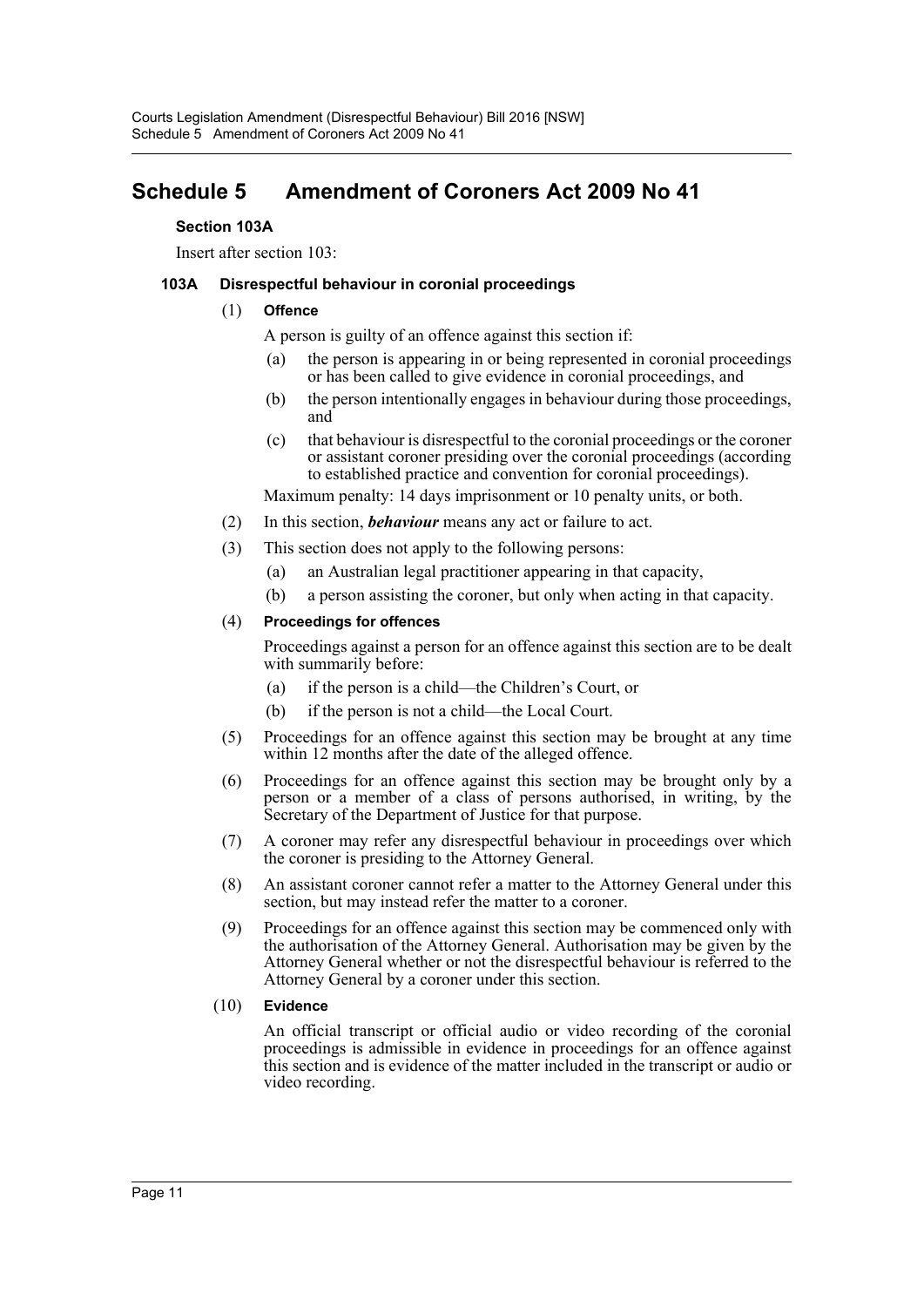## <span id="page-11-0"></span>**Schedule 5 Amendment of Coroners Act 2009 No 41**

#### **Section 103A**

Insert after section 103:

#### **103A Disrespectful behaviour in coronial proceedings**

#### (1) **Offence**

A person is guilty of an offence against this section if:

- (a) the person is appearing in or being represented in coronial proceedings or has been called to give evidence in coronial proceedings, and
- (b) the person intentionally engages in behaviour during those proceedings, and
- (c) that behaviour is disrespectful to the coronial proceedings or the coroner or assistant coroner presiding over the coronial proceedings (according to established practice and convention for coronial proceedings).

Maximum penalty: 14 days imprisonment or 10 penalty units, or both.

- (2) In this section, *behaviour* means any act or failure to act.
- (3) This section does not apply to the following persons:
	- (a) an Australian legal practitioner appearing in that capacity,
	- (b) a person assisting the coroner, but only when acting in that capacity.

#### (4) **Proceedings for offences**

Proceedings against a person for an offence against this section are to be dealt with summarily before:

- (a) if the person is a child—the Children's Court, or
- (b) if the person is not a child—the Local Court.
- (5) Proceedings for an offence against this section may be brought at any time within 12 months after the date of the alleged offence.
- (6) Proceedings for an offence against this section may be brought only by a person or a member of a class of persons authorised, in writing, by the Secretary of the Department of Justice for that purpose.
- (7) A coroner may refer any disrespectful behaviour in proceedings over which the coroner is presiding to the Attorney General.
- (8) An assistant coroner cannot refer a matter to the Attorney General under this section, but may instead refer the matter to a coroner.
- (9) Proceedings for an offence against this section may be commenced only with the authorisation of the Attorney General. Authorisation may be given by the Attorney General whether or not the disrespectful behaviour is referred to the Attorney General by a coroner under this section.

#### (10) **Evidence**

An official transcript or official audio or video recording of the coronial proceedings is admissible in evidence in proceedings for an offence against this section and is evidence of the matter included in the transcript or audio or video recording.